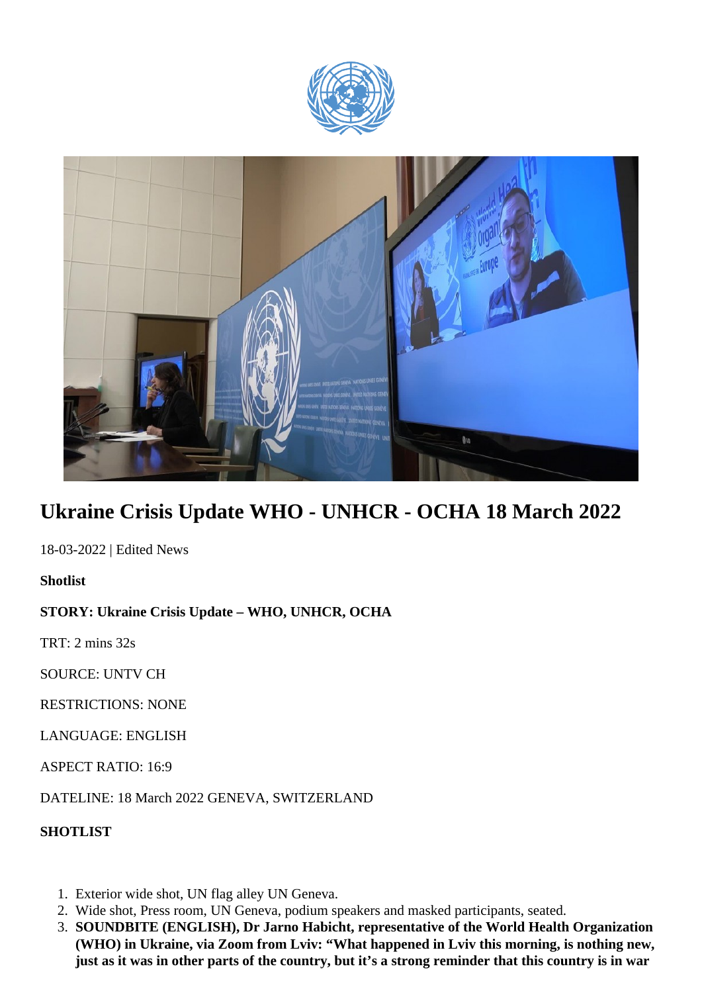



## **Ukraine Crisis Update WHO - UNHCR - OCHA 18 March 2022**

18-03-2022 | Edited News

**Shotlist**

## **STORY: Ukraine Crisis Update – WHO, UNHCR, OCHA**

TRT: 2 mins 32s

SOURCE: UNTV CH

RESTRICTIONS: NONE

LANGUAGE: ENGLISH

ASPECT RATIO: 16:9

DATELINE: 18 March 2022 GENEVA, SWITZERLAND

**SHOTLIST**

- 1. Exterior wide shot, UN flag alley UN Geneva.
- 2. Wide shot, Press room, UN Geneva, podium speakers and masked participants, seated.
- 3. **SOUNDBITE (ENGLISH), Dr Jarno Habicht, representative of the World Health Organization (WHO) in Ukraine, via Zoom from Lviv: "What happened in Lviv this morning, is nothing new, just as it was in other parts of the country, but it's a strong reminder that this country is in war**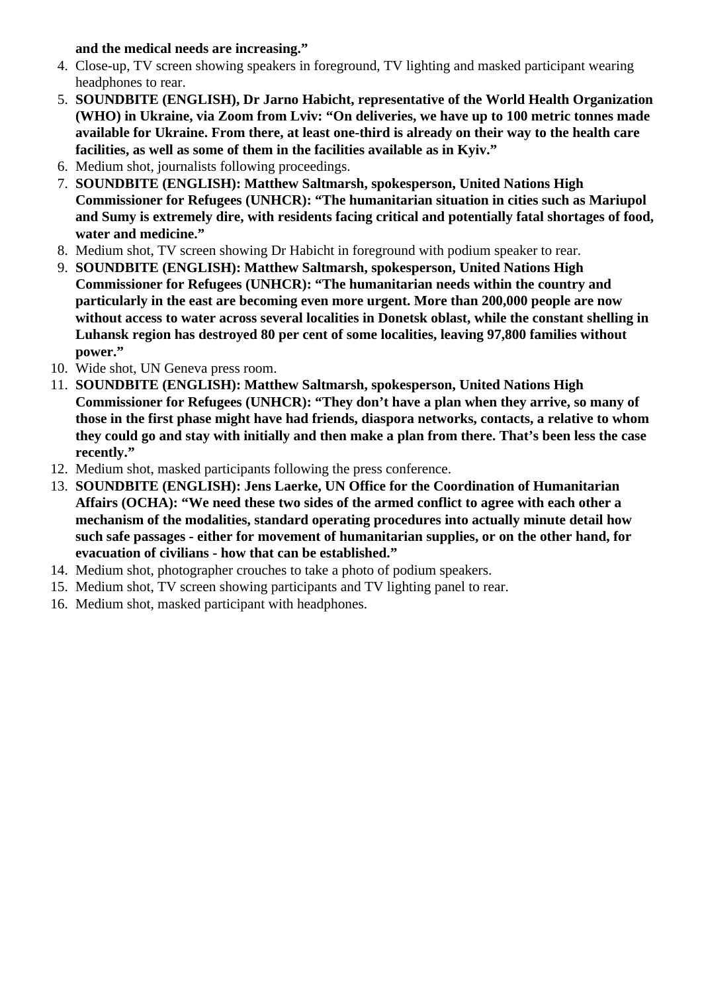**and the medical needs are increasing."**

- 4. Close-up, TV screen showing speakers in foreground, TV lighting and masked participant wearing headphones to rear.
- 5. **SOUNDBITE (ENGLISH), Dr Jarno Habicht, representative of the World Health Organization (WHO) in Ukraine, via Zoom from Lviv: "On deliveries, we have up to 100 metric tonnes made available for Ukraine. From there, at least one-third is already on their way to the health care facilities, as well as some of them in the facilities available as in Kyiv."**
- 6. Medium shot, journalists following proceedings.
- 7. **SOUNDBITE (ENGLISH): Matthew Saltmarsh, spokesperson, United Nations High Commissioner for Refugees (UNHCR): "The humanitarian situation in cities such as Mariupol and Sumy is extremely dire, with residents facing critical and potentially fatal shortages of food, water and medicine."**
- 8. Medium shot, TV screen showing Dr Habicht in foreground with podium speaker to rear.
- 9. **SOUNDBITE (ENGLISH): Matthew Saltmarsh, spokesperson, United Nations High Commissioner for Refugees (UNHCR): "The humanitarian needs within the country and particularly in the east are becoming even more urgent. More than 200,000 people are now without access to water across several localities in Donetsk oblast, while the constant shelling in Luhansk region has destroyed 80 per cent of some localities, leaving 97,800 families without power."**
- 10. Wide shot, UN Geneva press room.
- 11. **SOUNDBITE (ENGLISH): Matthew Saltmarsh, spokesperson, United Nations High Commissioner for Refugees (UNHCR): "They don't have a plan when they arrive, so many of those in the first phase might have had friends, diaspora networks, contacts, a relative to whom they could go and stay with initially and then make a plan from there. That's been less the case recently."**
- 12. Medium shot, masked participants following the press conference.
- 13. **SOUNDBITE (ENGLISH): Jens Laerke, UN Office for the Coordination of Humanitarian Affairs (OCHA): "We need these two sides of the armed conflict to agree with each other a mechanism of the modalities, standard operating procedures into actually minute detail how such safe passages - either for movement of humanitarian supplies, or on the other hand, for evacuation of civilians - how that can be established."**
- 14. Medium shot, photographer crouches to take a photo of podium speakers.
- 15. Medium shot, TV screen showing participants and TV lighting panel to rear.
- 16. Medium shot, masked participant with headphones.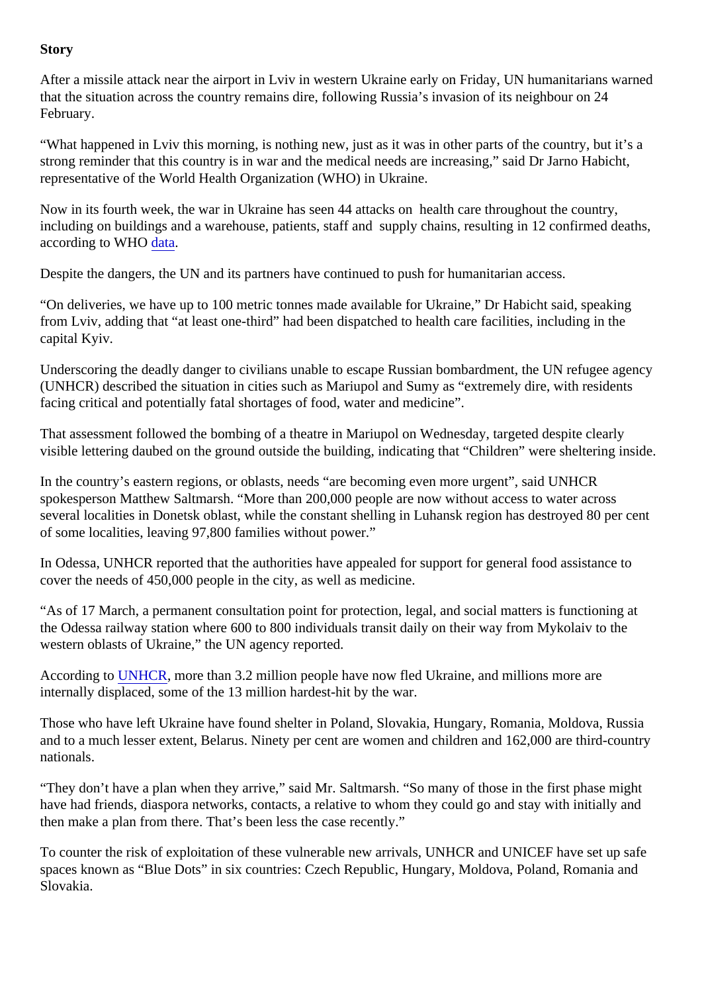## Story

After a missile attack near the airport in Lviv in western Ukraine early on Friday, UN humanitarians warned that the situation across the country remains dire, following Russia's invasion of its neighbour on 24 February.

"What happened in Lviv this morning, is nothing new, just as it was in other parts of the country, but it's a strong reminder that this country is in war and the medical needs are increasing," said Dr Jarno Habicht, representative of the World Health Organization (WHO) in Ukraine.

Now in its fourth week, the war in Ukraine has seen 44 attacks on health care throughout the country, including on buildings and a warehouse, patients, staff and supply chains, resulting in 12 confirmed death according to WH[O data](https://extranet.who.int/ssa/Index.aspx)

Despite the dangers, the UN and its partners have continued to push for humanitarian access.

"On deliveries, we have up to 100 metric tonnes made available for Ukraine," Dr Habicht said, speaking from Lviv, adding that "at least one-third" had been dispatched to health care facilities, including in the capital Kyiv.

Underscoring the deadly danger to civilians unable to escape Russian bombardment, the UN refugee age (UNHCR) described the situation in cities such as Mariupol and Sumy as "extremely dire, with residents facing critical and potentially fatal shortages of food, water and medicine".

That assessment followed the bombing of a theatre in Mariupol on Wednesday, targeted despite clearly visible lettering daubed on the ground outside the building, indicating that "Children" were sheltering inside.

In the country's eastern regions, or oblasts, needs "are becoming even more urgent", said UNHCR spokesperson Matthew Saltmarsh. "More than 200,000 people are now without access to water across several localities in Donetsk oblast, while the constant shelling in Luhansk region has destroyed 80 per ce of some localities, leaving 97,800 families without power."

In Odessa, UNHCR reported that the authorities have appealed for support for general food assistance to cover the needs of 450,000 people in the city, as well as medicine.

"As of 17 March, a permanent consultation point for protection, legal, and social matters is functioning at the Odessa railway station where 600 to 800 individuals transit daily on their way from Mykolaiv to the western oblasts of Ukraine," the UN agency reported.

According t[o UNHCR](https://data2.unhcr.org/en/situations/ukraine), more than 3.2 million people have now fled Ukraine, and millions more are internally displaced, some of the 13 million hardest-hit by the war.

Those who have left Ukraine have found shelter in Poland, Slovakia, Hungary, Romania, Moldova, Russia and to a much lesser extent, Belarus. Ninety per cent are women and children and 162,000 are third-coun nationals.

"They don't have a plan when they arrive," said Mr. Saltmarsh. "So many of those in the first phase might have had friends, diaspora networks, contacts, a relative to whom they could go and stay with initially and then make a plan from there. That's been less the case recently."

To counter the risk of exploitation of these vulnerable new arrivals, UNHCR and UNICEF have set up safe spaces known as "Blue Dots" in six countries: Czech Republic, Hungary, Moldova, Poland, Romania and Slovakia.